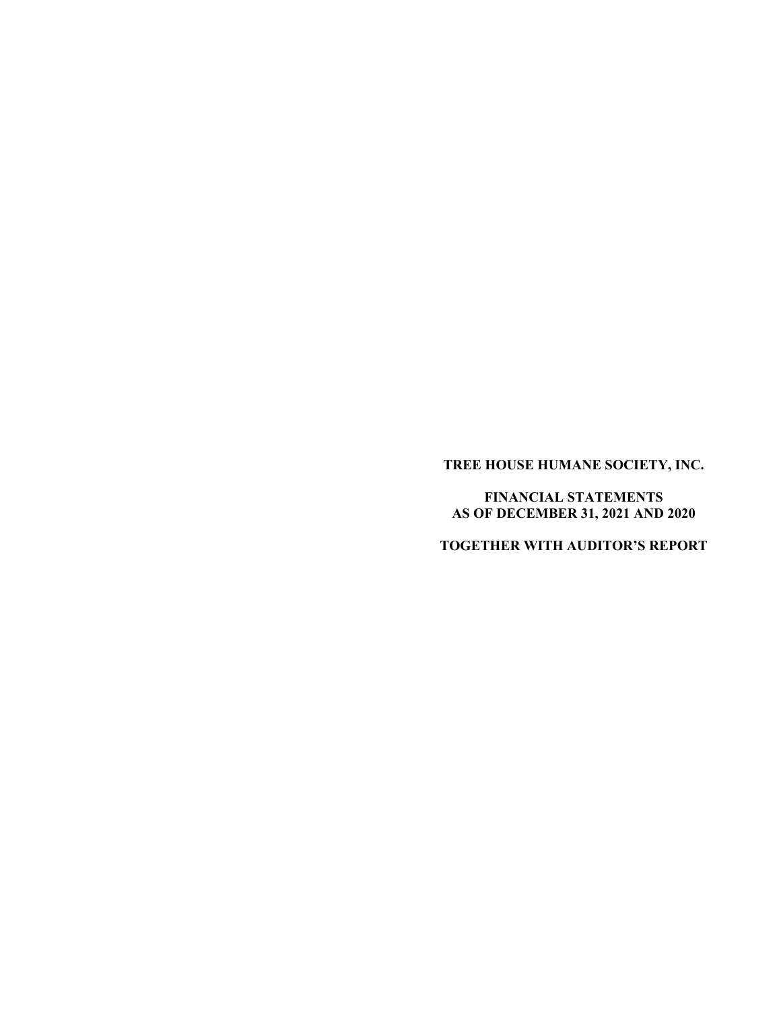**TREE HOUSE HUMANE SOCIETY, INC.** 

**FINANCIAL STATEMENTS AS OF DECEMBER 31, 2021 AND 2020** 

**TOGETHER WITH AUDITOR'S REPORT**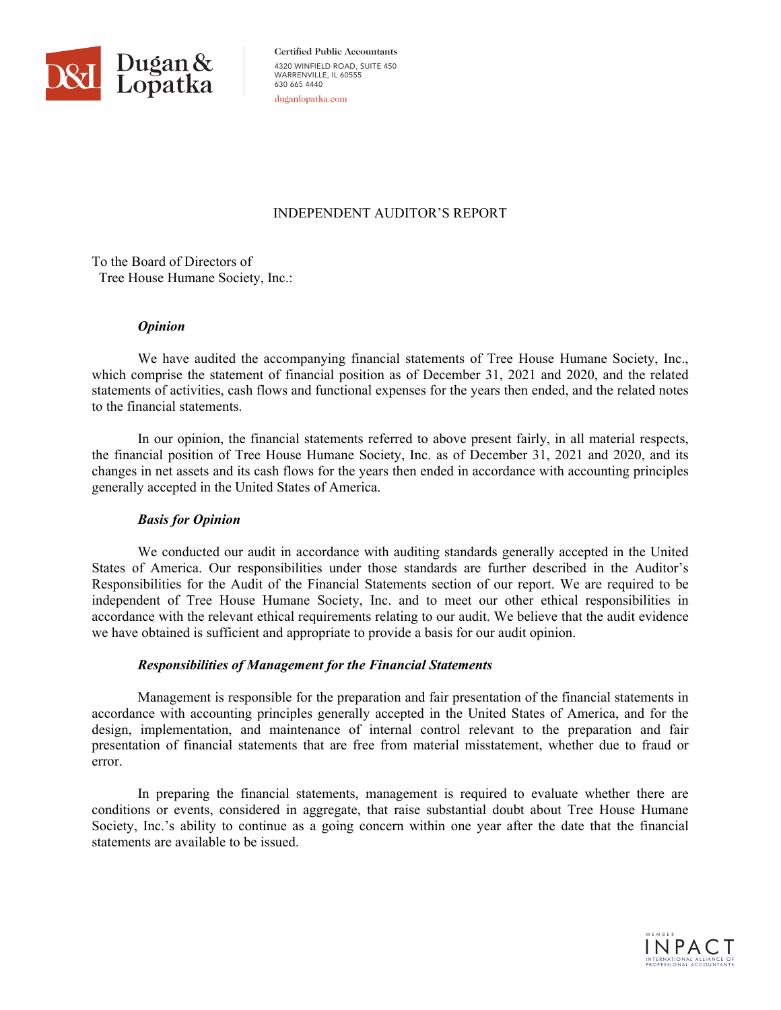

**Certified Public Accountants** 4320 WINFIELD ROAD, SUITE 450 WARRENVILLE, IL 60555 630 665 4440 duganlopatka.com

# INDEPENDENT AUDITOR'S REPORT

To the Board of Directors of Tree House Humane Society, Inc.:

# *Opinion*

 We have audited the accompanying financial statements of Tree House Humane Society, Inc., which comprise the statement of financial position as of December 31, 2021 and 2020, and the related statements of activities, cash flows and functional expenses for the years then ended, and the related notes to the financial statements.

In our opinion, the financial statements referred to above present fairly, in all material respects, the financial position of Tree House Humane Society, Inc. as of December 31, 2021 and 2020, and its changes in net assets and its cash flows for the years then ended in accordance with accounting principles generally accepted in the United States of America.

# *Basis for Opinion*

We conducted our audit in accordance with auditing standards generally accepted in the United States of America. Our responsibilities under those standards are further described in the Auditor's Responsibilities for the Audit of the Financial Statements section of our report. We are required to be independent of Tree House Humane Society, Inc. and to meet our other ethical responsibilities in accordance with the relevant ethical requirements relating to our audit. We believe that the audit evidence we have obtained is sufficient and appropriate to provide a basis for our audit opinion.

# *Responsibilities of Management for the Financial Statements*

Management is responsible for the preparation and fair presentation of the financial statements in accordance with accounting principles generally accepted in the United States of America, and for the design, implementation, and maintenance of internal control relevant to the preparation and fair presentation of financial statements that are free from material misstatement, whether due to fraud or error.

In preparing the financial statements, management is required to evaluate whether there are conditions or events, considered in aggregate, that raise substantial doubt about Tree House Humane Society, Inc.'s ability to continue as a going concern within one year after the date that the financial statements are available to be issued.

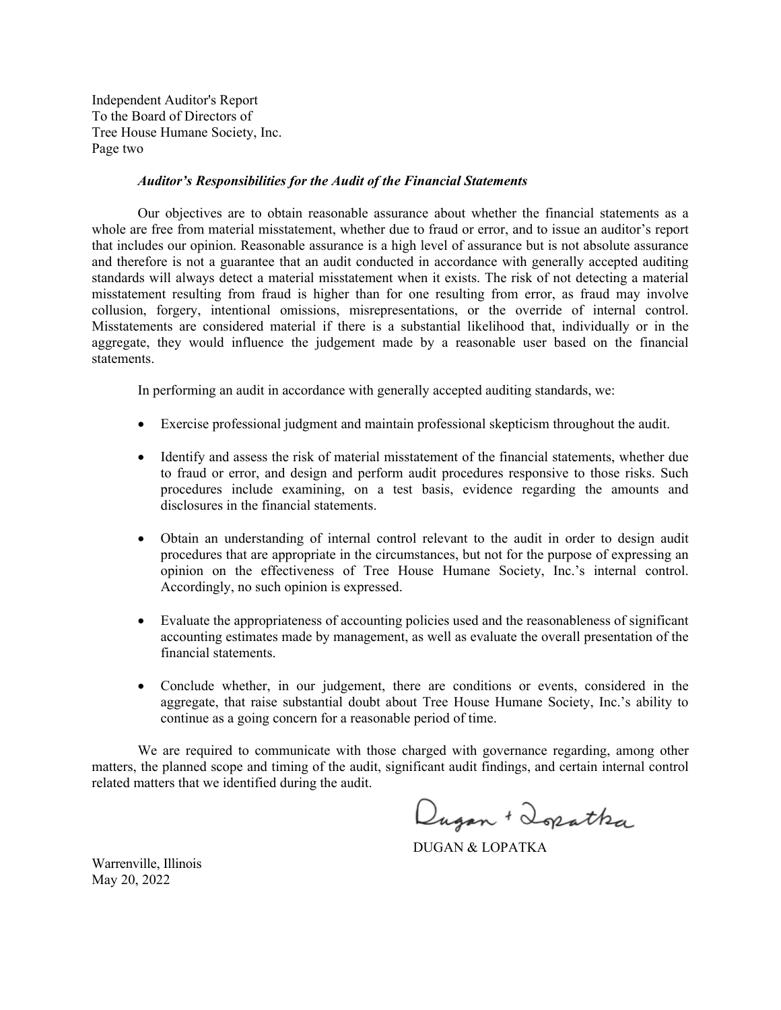Independent Auditor's Report To the Board of Directors of Tree House Humane Society, Inc. Page two

#### *Auditor's Responsibilities for the Audit of the Financial Statements*

Our objectives are to obtain reasonable assurance about whether the financial statements as a whole are free from material misstatement, whether due to fraud or error, and to issue an auditor's report that includes our opinion. Reasonable assurance is a high level of assurance but is not absolute assurance and therefore is not a guarantee that an audit conducted in accordance with generally accepted auditing standards will always detect a material misstatement when it exists. The risk of not detecting a material misstatement resulting from fraud is higher than for one resulting from error, as fraud may involve collusion, forgery, intentional omissions, misrepresentations, or the override of internal control. Misstatements are considered material if there is a substantial likelihood that, individually or in the aggregate, they would influence the judgement made by a reasonable user based on the financial statements.

In performing an audit in accordance with generally accepted auditing standards, we:

- Exercise professional judgment and maintain professional skepticism throughout the audit.
- Identify and assess the risk of material misstatement of the financial statements, whether due to fraud or error, and design and perform audit procedures responsive to those risks. Such procedures include examining, on a test basis, evidence regarding the amounts and disclosures in the financial statements.
- Obtain an understanding of internal control relevant to the audit in order to design audit procedures that are appropriate in the circumstances, but not for the purpose of expressing an opinion on the effectiveness of Tree House Humane Society, Inc.'s internal control. Accordingly, no such opinion is expressed.
- Evaluate the appropriateness of accounting policies used and the reasonableness of significant accounting estimates made by management, as well as evaluate the overall presentation of the financial statements.
- Conclude whether, in our judgement, there are conditions or events, considered in the aggregate, that raise substantial doubt about Tree House Humane Society, Inc.'s ability to continue as a going concern for a reasonable period of time.

We are required to communicate with those charged with governance regarding, among other matters, the planned scope and timing of the audit, significant audit findings, and certain internal control related matters that we identified during the audit.

Dugan + Dopatha

DUGAN & LOPATKA

Warrenville, Illinois May 20, 2022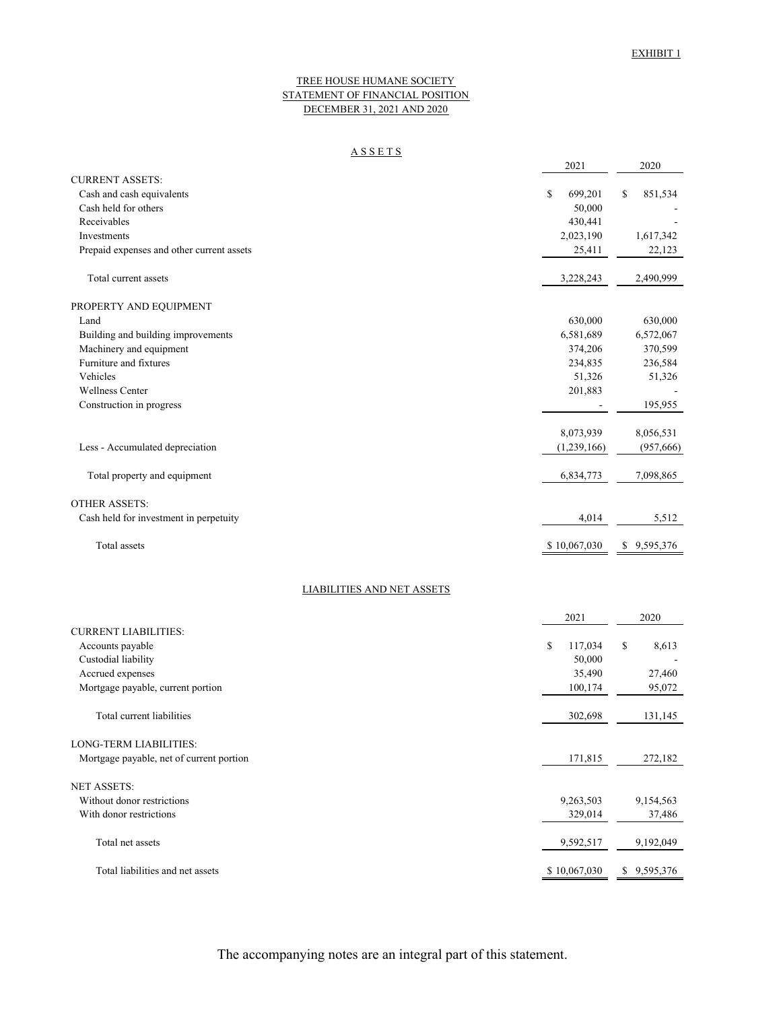2021 2020

#### TREE HOUSE HUMANE SOCIETY STATEMENT OF FINANCIAL POSITION DECEMBER 31, 2021 AND 2020

#### A S S E T S

| <b>CURRENT ASSETS:</b>                    |               |                 |
|-------------------------------------------|---------------|-----------------|
| Cash and cash equivalents                 | \$<br>699,201 | \$<br>851,534   |
| Cash held for others                      | 50,000        |                 |
| Receivables                               | 430,441       |                 |
| Investments                               | 2,023,190     | 1,617,342       |
| Prepaid expenses and other current assets | 25,411        | 22,123          |
| Total current assets                      | 3,228,243     | 2,490,999       |
| PROPERTY AND EQUIPMENT                    |               |                 |
| Land                                      | 630,000       | 630,000         |
| Building and building improvements        | 6,581,689     | 6,572,067       |
| Machinery and equipment                   | 374,206       | 370,599         |
| Furniture and fixtures                    | 234,835       | 236,584         |
| Vehicles                                  | 51,326        | 51,326          |
| <b>Wellness Center</b>                    | 201,883       |                 |
| Construction in progress                  |               | 195,955         |
|                                           | 8,073,939     | 8,056,531       |
| Less - Accumulated depreciation           | (1,239,166)   | (957, 666)      |
| Total property and equipment              | 6,834,773     | 7,098,865       |
| <b>OTHER ASSETS:</b>                      |               |                 |
| Cash held for investment in perpetuity    | 4,014         | 5,512           |
| Total assets                              | \$10,067,030  | 9,595,376<br>\$ |
| <b>LIABILITIES AND NET ASSETS</b>         |               |                 |
|                                           | 2021          | 2020            |
| <b>CURRENT LIABILITIES:</b>               |               |                 |
| Accounts payable                          | \$<br>117,034 | \$<br>8,613     |
| Custodial liability                       | 50,000        |                 |
| Accrued expenses                          | 35,490        | 27,460          |
| Mortgage payable, current portion         | 100.174       | 95,072          |
| Total current liabilities                 | 302,698       | 131,145         |
| LONG-TERM LIABILITIES:                    |               |                 |
| Mortgage payable, net of current portion  | 171,815       | 272,182         |
| NET ASSETS:                               |               |                 |
| Without donor restrictions                | 9,263,503     | 9,154,563       |
| With donor restrictions                   | 329,014       | 37,486          |
| Total net assets                          | 9,592,517     | 9,192,049       |
| Total liabilities and net assets          | \$10,067,030  | \$9,595,376     |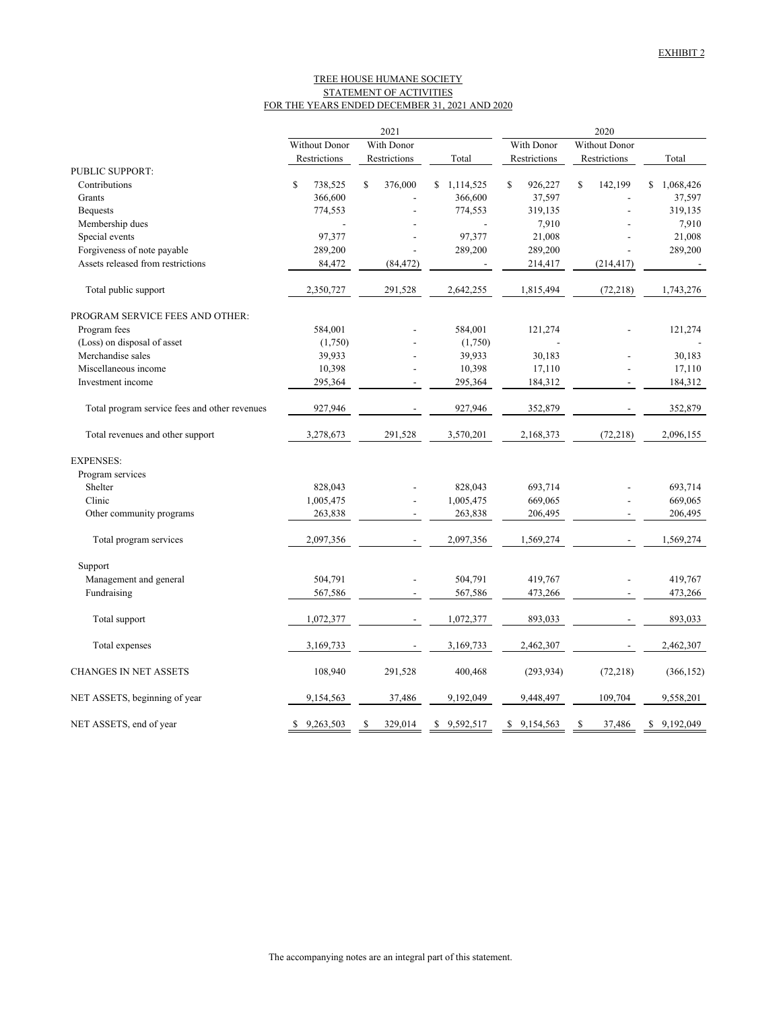#### FOR THE YEARS ENDED DECEMBER 31, 2021 AND 2020 TREE HOUSE HUMANE SOCIETY STATEMENT OF ACTIVITIES

|                                               | 2021                        |              |    |                          |  | 2020          |    |              |    |                          |    |            |
|-----------------------------------------------|-----------------------------|--------------|----|--------------------------|--|---------------|----|--------------|----|--------------------------|----|------------|
|                                               | With Donor<br>Without Donor |              |    | With Donor               |  | Without Donor |    |              |    |                          |    |            |
|                                               |                             | Restrictions |    | Restrictions             |  | Total         |    | Restrictions |    | Restrictions             |    | Total      |
| PUBLIC SUPPORT:                               |                             |              |    |                          |  |               |    |              |    |                          |    |            |
| Contributions                                 | \$                          | 738,525      | \$ | 376,000                  |  | \$1,114,525   | \$ | 926,227      | \$ | 142,199                  | S. | 1,068,426  |
| Grants                                        |                             | 366,600      |    |                          |  | 366,600       |    | 37,597       |    |                          |    | 37,597     |
| <b>Bequests</b>                               |                             | 774,553      |    |                          |  | 774,553       |    | 319,135      |    |                          |    | 319,135    |
| Membership dues                               |                             |              |    |                          |  |               |    | 7,910        |    |                          |    | 7,910      |
| Special events                                |                             | 97,377       |    |                          |  | 97,377        |    | 21,008       |    |                          |    | 21,008     |
| Forgiveness of note payable                   |                             | 289,200      |    |                          |  | 289,200       |    | 289,200      |    |                          |    | 289,200    |
| Assets released from restrictions             |                             | 84,472       |    | (84, 472)                |  |               |    | 214,417      |    | (214, 417)               |    |            |
| Total public support                          |                             | 2,350,727    |    | 291,528                  |  | 2,642,255     |    | 1,815,494    |    | (72, 218)                |    | 1,743,276  |
| PROGRAM SERVICE FEES AND OTHER:               |                             |              |    |                          |  |               |    |              |    |                          |    |            |
| Program fees                                  |                             | 584,001      |    |                          |  | 584,001       |    | 121,274      |    |                          |    | 121,274    |
| (Loss) on disposal of asset                   |                             | (1,750)      |    |                          |  | (1,750)       |    |              |    |                          |    |            |
| Merchandise sales                             |                             | 39,933       |    |                          |  | 39,933        |    | 30,183       |    |                          |    | 30.183     |
| Miscellaneous income                          |                             | 10,398       |    |                          |  | 10,398        |    | 17,110       |    |                          |    | 17,110     |
| Investment income                             |                             | 295,364      |    |                          |  | 295,364       |    | 184,312      |    |                          |    | 184,312    |
| Total program service fees and other revenues |                             | 927,946      |    |                          |  | 927,946       |    | 352,879      |    |                          |    | 352,879    |
| Total revenues and other support              |                             | 3,278,673    |    | 291,528                  |  | 3,570,201     |    | 2,168,373    |    | (72, 218)                |    | 2,096,155  |
| <b>EXPENSES:</b>                              |                             |              |    |                          |  |               |    |              |    |                          |    |            |
| Program services                              |                             |              |    |                          |  |               |    |              |    |                          |    |            |
| Shelter                                       |                             | 828,043      |    |                          |  | 828,043       |    | 693,714      |    |                          |    | 693,714    |
| Clinic                                        |                             | 1,005,475    |    |                          |  | 1,005,475     |    | 669,065      |    |                          |    | 669,065    |
| Other community programs                      |                             | 263,838      |    | $\overline{a}$           |  | 263,838       |    | 206,495      |    | $\sim$                   |    | 206,495    |
| Total program services                        |                             | 2,097,356    |    | $\overline{\phantom{m}}$ |  | 2,097,356     |    | 1,569,274    |    | $\overline{\phantom{a}}$ |    | 1,569,274  |
| Support                                       |                             |              |    |                          |  |               |    |              |    |                          |    |            |
| Management and general                        |                             | 504,791      |    |                          |  | 504,791       |    | 419,767      |    |                          |    | 419,767    |
| Fundraising                                   |                             | 567,586      |    |                          |  | 567,586       |    | 473,266      |    |                          |    | 473,266    |
| Total support                                 |                             | 1,072,377    |    |                          |  | 1,072,377     |    | 893,033      |    |                          |    | 893,033    |
| Total expenses                                |                             | 3,169,733    |    |                          |  | 3,169,733     |    | 2,462,307    |    |                          |    | 2,462,307  |
| <b>CHANGES IN NET ASSETS</b>                  |                             | 108,940      |    | 291,528                  |  | 400,468       |    | (293, 934)   |    | (72, 218)                |    | (366, 152) |
| NET ASSETS, beginning of year                 |                             | 9,154,563    |    | 37,486                   |  | 9,192,049     |    | 9,448,497    |    | 109,704                  |    | 9,558,201  |
| NET ASSETS, end of year                       |                             | \$9,263,503  | \$ | 329,014                  |  | \$9,592,517   | \$ | 9,154,563    | \$ | 37,486                   | \$ | 9,192,049  |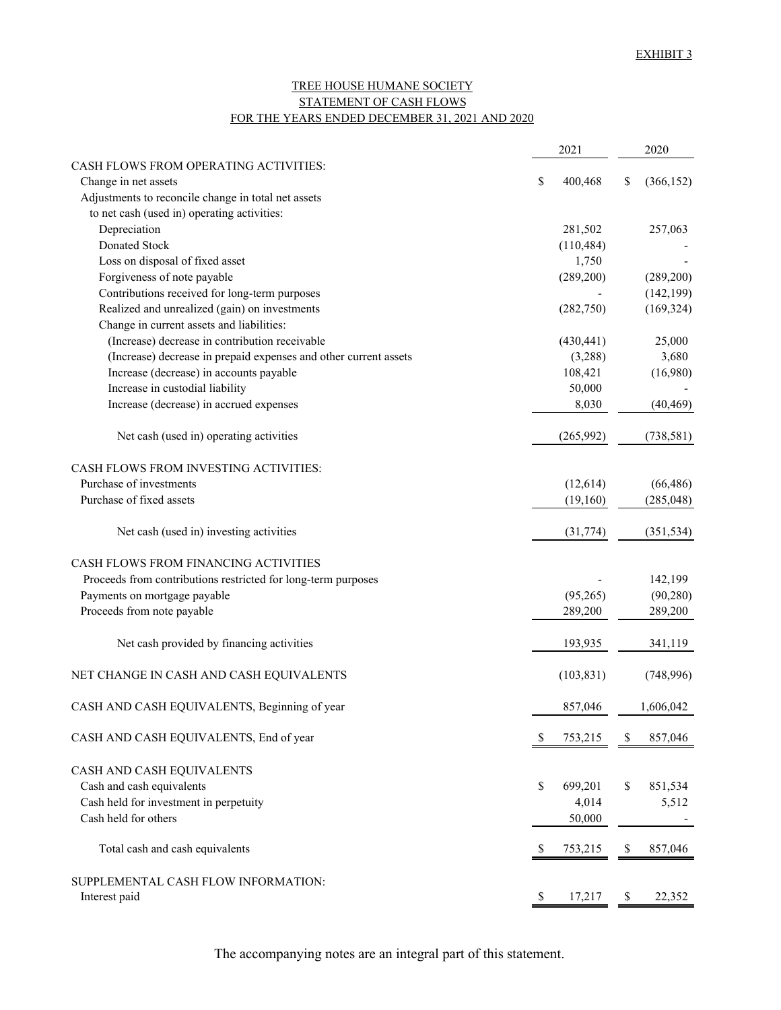# TREE HOUSE HUMANE SOCIETY STATEMENT OF CASH FLOWS FOR THE YEARS ENDED DECEMBER 31, 2021 AND 2020

|                                                                  | 2021          |              | 2020       |
|------------------------------------------------------------------|---------------|--------------|------------|
| CASH FLOWS FROM OPERATING ACTIVITIES:                            |               |              |            |
| Change in net assets                                             | \$<br>400,468 | \$           | (366, 152) |
| Adjustments to reconcile change in total net assets              |               |              |            |
| to net cash (used in) operating activities:                      |               |              |            |
| Depreciation                                                     | 281,502       |              | 257,063    |
| Donated Stock                                                    | (110, 484)    |              |            |
| Loss on disposal of fixed asset                                  | 1,750         |              |            |
| Forgiveness of note payable                                      | (289, 200)    |              | (289, 200) |
| Contributions received for long-term purposes                    |               |              | (142, 199) |
| Realized and unrealized (gain) on investments                    | (282,750)     |              | (169, 324) |
| Change in current assets and liabilities:                        |               |              |            |
| (Increase) decrease in contribution receivable                   | (430, 441)    |              | 25,000     |
| (Increase) decrease in prepaid expenses and other current assets | (3,288)       |              | 3,680      |
| Increase (decrease) in accounts payable                          | 108,421       |              | (16,980)   |
| Increase in custodial liability                                  | 50,000        |              |            |
| Increase (decrease) in accrued expenses                          | 8,030         |              | (40, 469)  |
| Net cash (used in) operating activities                          | (265,992)     |              | (738, 581) |
| CASH FLOWS FROM INVESTING ACTIVITIES:                            |               |              |            |
| Purchase of investments                                          | (12,614)      |              | (66, 486)  |
| Purchase of fixed assets                                         | (19,160)      |              | (285, 048) |
| Net cash (used in) investing activities                          | (31, 774)     |              | (351, 534) |
| CASH FLOWS FROM FINANCING ACTIVITIES                             |               |              |            |
| Proceeds from contributions restricted for long-term purposes    |               |              | 142,199    |
| Payments on mortgage payable                                     | (95,265)      |              | (90, 280)  |
| Proceeds from note payable                                       | 289,200       |              | 289,200    |
| Net cash provided by financing activities                        | 193,935       |              | 341,119    |
| NET CHANGE IN CASH AND CASH EQUIVALENTS                          | (103, 831)    |              | (748,996)  |
| CASH AND CASH EQUIVALENTS, Beginning of year                     | 857,046       |              | 1,606,042  |
| CASH AND CASH EQUIVALENTS, End of year                           | \$<br>753,215 | S            | 857,046    |
| CASH AND CASH EQUIVALENTS                                        |               |              |            |
| Cash and cash equivalents                                        | \$<br>699,201 | \$           | 851,534    |
| Cash held for investment in perpetuity                           | 4,014         |              | 5,512      |
| Cash held for others                                             | 50,000        |              |            |
| Total cash and cash equivalents                                  | \$<br>753,215 | S            | 857,046    |
| SUPPLEMENTAL CASH FLOW INFORMATION:                              |               |              |            |
| Interest paid                                                    | \$<br>17,217  | <sup>8</sup> | 22,352     |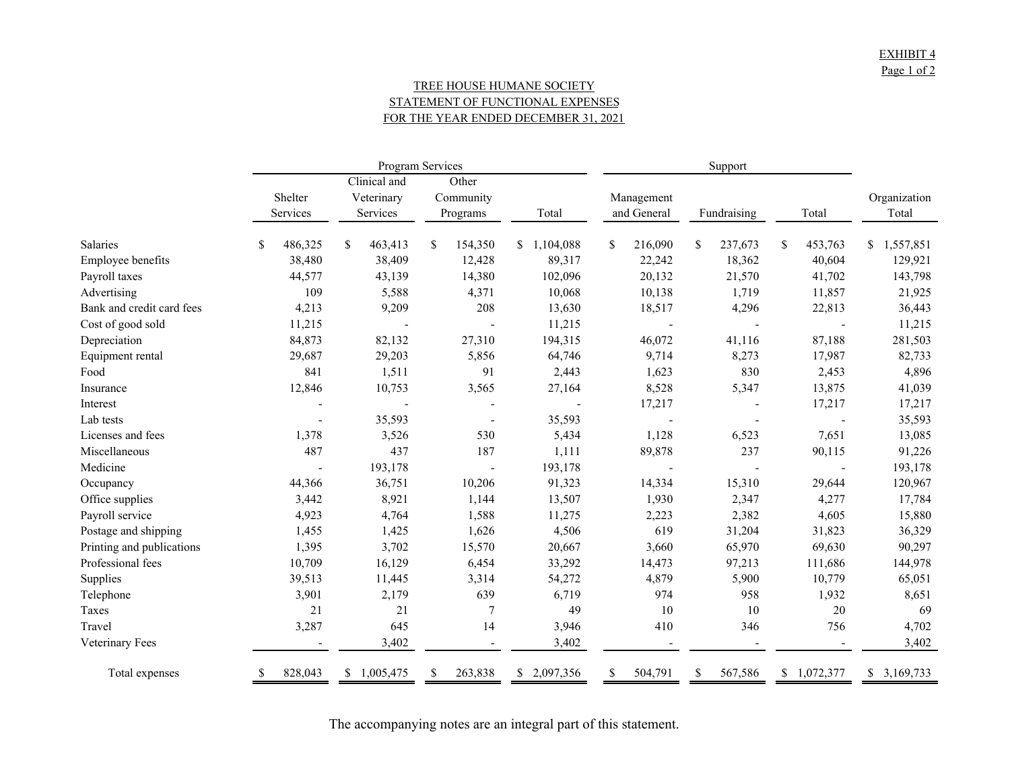# TREE HOUSE HUMANE SOCIETY STATEMENT OF FUNCTIONAL EXPENSES FOR THE YEAR ENDED DECEMBER 31, 2021

|                           |              |                 | Program Services |                 |               |               |               |                 |  |  |
|---------------------------|--------------|-----------------|------------------|-----------------|---------------|---------------|---------------|-----------------|--|--|
|                           |              | Clinical and    |                  | Other           |               |               |               |                 |  |  |
|                           | Shelter      | Veterinary      | Community        |                 | Management    |               |               | Organization    |  |  |
|                           | Services     | Services        | Programs         | Total           | and General   | Fundraising   | Total         | Total           |  |  |
| Salaries                  | 486,325<br>S | \$<br>463,413   | 154,350<br>S.    | \$1,104,088     | S.<br>216,090 | \$<br>237,673 | \$<br>453,763 | 1,557,851<br>S. |  |  |
| Employee benefits         | 38,480       | 38,409          | 12,428           | 89,317          | 22,242        | 18,362        | 40,604        | 129,921         |  |  |
| Payroll taxes             | 44,577       | 43,139          | 14,380           | 102,096         | 20,132        | 21,570        | 41,702        | 143,798         |  |  |
| Advertising               | 109          | 5,588           | 4,371            | 10,068          | 10,138        | 1,719         | 11,857        | 21,925          |  |  |
| Bank and credit card fees | 4,213        | 9,209           | 208              | 13,630          | 18,517        | 4,296         | 22,813        | 36,443          |  |  |
| Cost of good sold         | 11,215       |                 |                  | 11,215          |               |               |               | 11,215          |  |  |
| Depreciation              | 84,873       | 82,132          | 27,310           | 194,315         | 46,072        | 41,116        | 87,188        | 281,503         |  |  |
| Equipment rental          | 29,687       | 29,203          | 5,856            | 64,746          | 9,714         | 8,273         | 17,987        | 82,733          |  |  |
| Food                      | 841          | 1,511           | 91               | 2,443           | 1,623         | 830           | 2,453         | 4,896           |  |  |
| Insurance                 | 12,846       | 10,753          | 3,565            | 27,164          | 8,528         | 5,347         | 13,875        | 41,039          |  |  |
| Interest                  |              |                 |                  |                 | 17,217        |               | 17,217        | 17,217          |  |  |
| Lab tests                 |              | 35,593          |                  | 35,593          |               |               |               | 35,593          |  |  |
| Licenses and fees         | 1,378        | 3,526           | 530              | 5,434           | 1,128         | 6,523         | 7,651         | 13,085          |  |  |
| Miscellaneous             | 487          | 437             | 187              | 1,111           | 89,878        | 237           | 90,115        | 91,226          |  |  |
| Medicine                  |              | 193,178         |                  | 193,178         |               |               |               | 193,178         |  |  |
| Occupancy                 | 44,366       | 36,751          | 10,206           | 91,323          | 14,334        | 15,310        | 29,644        | 120,967         |  |  |
| Office supplies           | 3,442        | 8,921           | 1,144            | 13,507          | 1,930         | 2,347         | 4,277         | 17,784          |  |  |
| Payroll service           | 4,923        | 4,764           | 1,588            | 11,275          | 2,223         | 2,382         | 4,605         | 15,880          |  |  |
| Postage and shipping      | 1,455        | 1,425           | 1,626            | 4,506           | 619           | 31,204        | 31,823        | 36,329          |  |  |
| Printing and publications | 1,395        | 3,702           | 15,570           | 20,667          | 3,660         | 65,970        | 69,630        | 90,297          |  |  |
| Professional fees         | 10,709       | 16,129          | 6,454            | 33,292          | 14,473        | 97,213        | 111,686       | 144,978         |  |  |
| Supplies                  | 39,513       | 11,445          | 3,314            | 54,272          | 4,879         | 5,900         | 10,779        | 65,051          |  |  |
| Telephone                 | 3,901        | 2,179           | 639              | 6,719           | 974           | 958           | 1,932         | 8,651           |  |  |
| Taxes                     | 21           | 21              | $\overline{7}$   | 49              | 10            | 10            | 20            | 69              |  |  |
| Travel                    | 3,287        | 645             | 14               | 3,946           | 410           | 346           | 756           | 4,702           |  |  |
| Veterinary Fees           |              | 3,402           |                  | 3,402           |               |               |               | 3,402           |  |  |
| Total expenses            | 828,043      | 1,005,475<br>S. | 263,838          | 2,097,356<br>S. | 504,791<br>S  | 567,586       | \$1,072,377   | \$3,169,733     |  |  |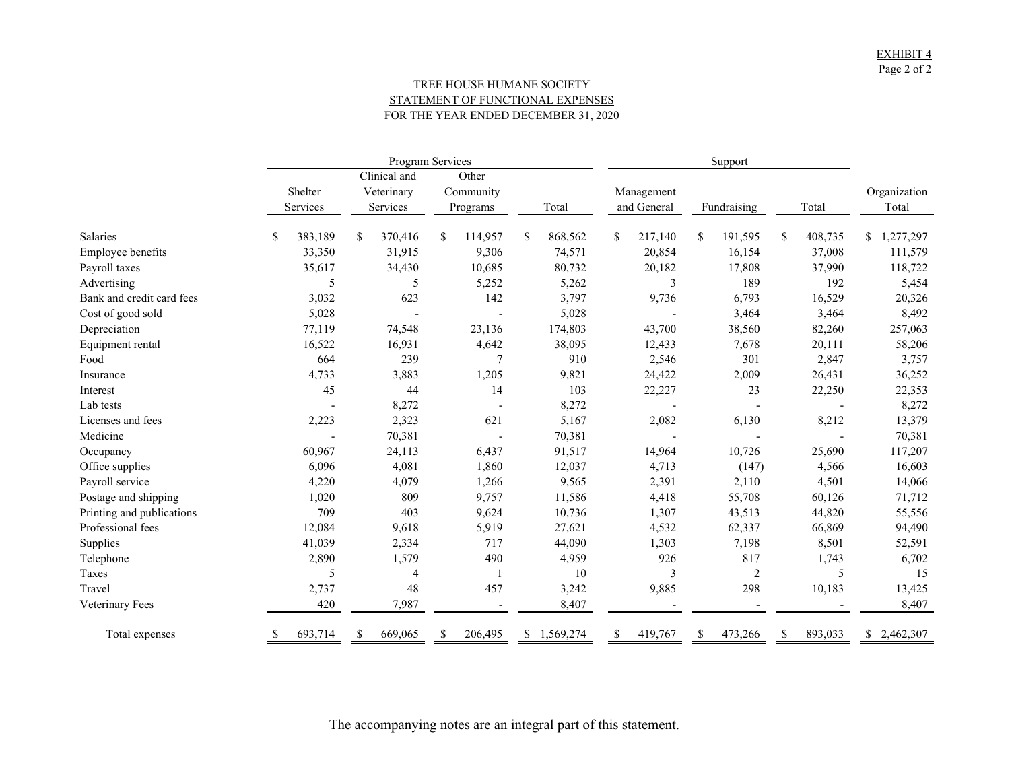## TREE HOUSE HUMANE SOCIETY STATEMENT OF FUNCTIONAL EXPENSES FOR THE YEAR ENDED DECEMBER 31, 2020

|                           |               |                          | Program Services |               |               |                |                         |                 |
|---------------------------|---------------|--------------------------|------------------|---------------|---------------|----------------|-------------------------|-----------------|
|                           |               | Clinical and             | Other            |               |               |                |                         |                 |
|                           | Shelter       | Veterinary               | Community        |               | Management    |                |                         | Organization    |
|                           | Services      | Services                 | Programs         | Total         | and General   | Fundraising    | Total                   | Total           |
| Salaries                  | 383,189<br>\$ | <sup>\$</sup><br>370,416 | 114,957<br>S.    | \$<br>868,562 | \$<br>217,140 | 191,595<br>S.  | 408,735<br>$\mathbb{S}$ | 1,277,297<br>\$ |
| Employee benefits         | 33,350        | 31,915                   | 9,306            | 74,571        | 20,854        | 16,154         | 37,008                  | 111,579         |
| Payroll taxes             | 35,617        | 34,430                   | 10,685           | 80,732        | 20,182        | 17,808         | 37,990                  | 118,722         |
| Advertising               | 5             | 5                        | 5,252            | 5,262         | 3             | 189            | 192                     | 5,454           |
| Bank and credit card fees | 3,032         | 623                      | 142              | 3,797         | 9,736         | 6,793          | 16,529                  | 20,326          |
| Cost of good sold         | 5,028         |                          |                  | 5,028         |               | 3,464          | 3,464                   | 8,492           |
| Depreciation              | 77,119        | 74,548                   | 23,136           | 174,803       | 43,700        | 38,560         | 82,260                  | 257,063         |
| Equipment rental          | 16,522        | 16,931                   | 4,642            | 38,095        | 12,433        | 7,678          | 20,111                  | 58,206          |
| Food                      | 664           | 239                      | 7                | 910           | 2,546         | 301            | 2,847                   | 3,757           |
| Insurance                 | 4,733         | 3,883                    | 1,205            | 9,821         | 24,422        | 2,009          | 26,431                  | 36,252          |
| Interest                  | 45            | 44                       | 14               | 103           | 22,227        | 23             | 22,250                  | 22,353          |
| Lab tests                 |               | 8,272                    |                  | 8,272         |               |                |                         | 8,272           |
| Licenses and fees         | 2,223         | 2,323                    | 621              | 5,167         | 2,082         | 6,130          | 8,212                   | 13,379          |
| Medicine                  |               | 70,381                   |                  | 70,381        |               |                |                         | 70,381          |
| Occupancy                 | 60,967        | 24,113                   | 6,437            | 91,517        | 14,964        | 10,726         | 25,690                  | 117,207         |
| Office supplies           | 6,096         | 4,081                    | 1,860            | 12,037        | 4,713         | (147)          | 4,566                   | 16,603          |
| Payroll service           | 4,220         | 4,079                    | 1,266            | 9,565         | 2,391         | 2,110          | 4,501                   | 14,066          |
| Postage and shipping      | 1,020         | 809                      | 9,757            | 11,586        | 4,418         | 55,708         | 60,126                  | 71,712          |
| Printing and publications | 709           | 403                      | 9,624            | 10,736        | 1,307         | 43,513         | 44,820                  | 55,556          |
| Professional fees         | 12,084        | 9,618                    | 5,919            | 27,621        | 4,532         | 62,337         | 66,869                  | 94,490          |
| Supplies                  | 41,039        | 2,334                    | 717              | 44,090        | 1,303         | 7,198          | 8,501                   | 52,591          |
| Telephone                 | 2,890         | 1,579                    | 490              | 4,959         | 926           | 817            | 1,743                   | 6,702           |
| Taxes                     | 5             | 4                        | -1               | 10            | 3             | $\overline{c}$ | 5                       | 15              |
| Travel                    | 2,737         | 48                       | 457              | 3,242         | 9,885         | 298            | 10,183                  | 13,425          |
| Veterinary Fees           | 420           | 7,987                    |                  | 8,407         |               |                |                         | 8,407           |
| Total expenses            | 693,714<br>\$ | 669,065<br>\$            | 206,495          | \$1,569,274   | 419,767<br>\$ | 473,266<br>\$  | S<br>893,033            | \$2,462,307     |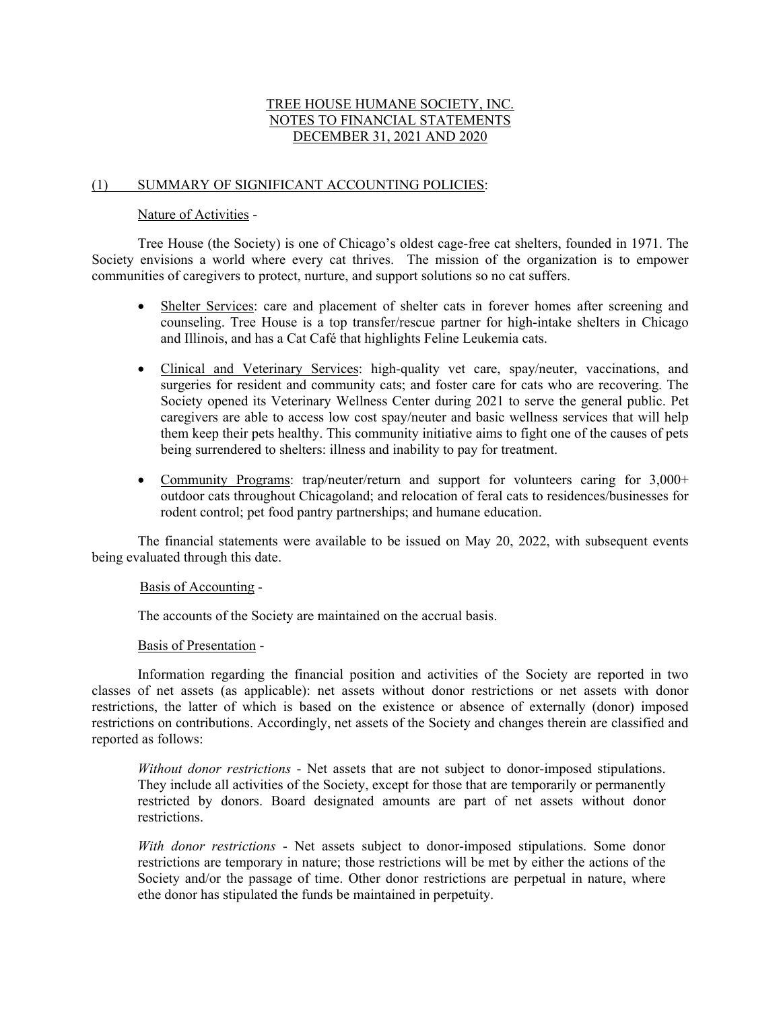# TREE HOUSE HUMANE SOCIETY, INC. NOTES TO FINANCIAL STATEMENTS DECEMBER 31, 2021 AND 2020

# (1) SUMMARY OF SIGNIFICANT ACCOUNTING POLICIES:

# Nature of Activities -

 Tree House (the Society) is one of Chicago's oldest cage-free cat shelters, founded in 1971. The Society envisions a world where every cat thrives. The mission of the organization is to empower communities of caregivers to protect, nurture, and support solutions so no cat suffers.

- Shelter Services: care and placement of shelter cats in forever homes after screening and counseling. Tree House is a top transfer/rescue partner for high-intake shelters in Chicago and Illinois, and has a Cat Café that highlights Feline Leukemia cats.
- Clinical and Veterinary Services: high-quality vet care, spay/neuter, vaccinations, and surgeries for resident and community cats; and foster care for cats who are recovering. The Society opened its Veterinary Wellness Center during 2021 to serve the general public. Pet caregivers are able to access low cost spay/neuter and basic wellness services that will help them keep their pets healthy. This community initiative aims to fight one of the causes of pets being surrendered to shelters: illness and inability to pay for treatment.
- Community Programs: trap/neuter/return and support for volunteers caring for 3,000+ outdoor cats throughout Chicagoland; and relocation of feral cats to residences/businesses for rodent control; pet food pantry partnerships; and humane education.

 The financial statements were available to be issued on May 20, 2022, with subsequent events being evaluated through this date.

# Basis of Accounting -

The accounts of the Society are maintained on the accrual basis.

# Basis of Presentation -

 Information regarding the financial position and activities of the Society are reported in two classes of net assets (as applicable): net assets without donor restrictions or net assets with donor restrictions, the latter of which is based on the existence or absence of externally (donor) imposed restrictions on contributions. Accordingly, net assets of the Society and changes therein are classified and reported as follows:

*Without donor restrictions* - Net assets that are not subject to donor-imposed stipulations. They include all activities of the Society, except for those that are temporarily or permanently restricted by donors. Board designated amounts are part of net assets without donor restrictions.

*With donor restrictions* - Net assets subject to donor-imposed stipulations. Some donor restrictions are temporary in nature; those restrictions will be met by either the actions of the Society and/or the passage of time. Other donor restrictions are perpetual in nature, where ethe donor has stipulated the funds be maintained in perpetuity.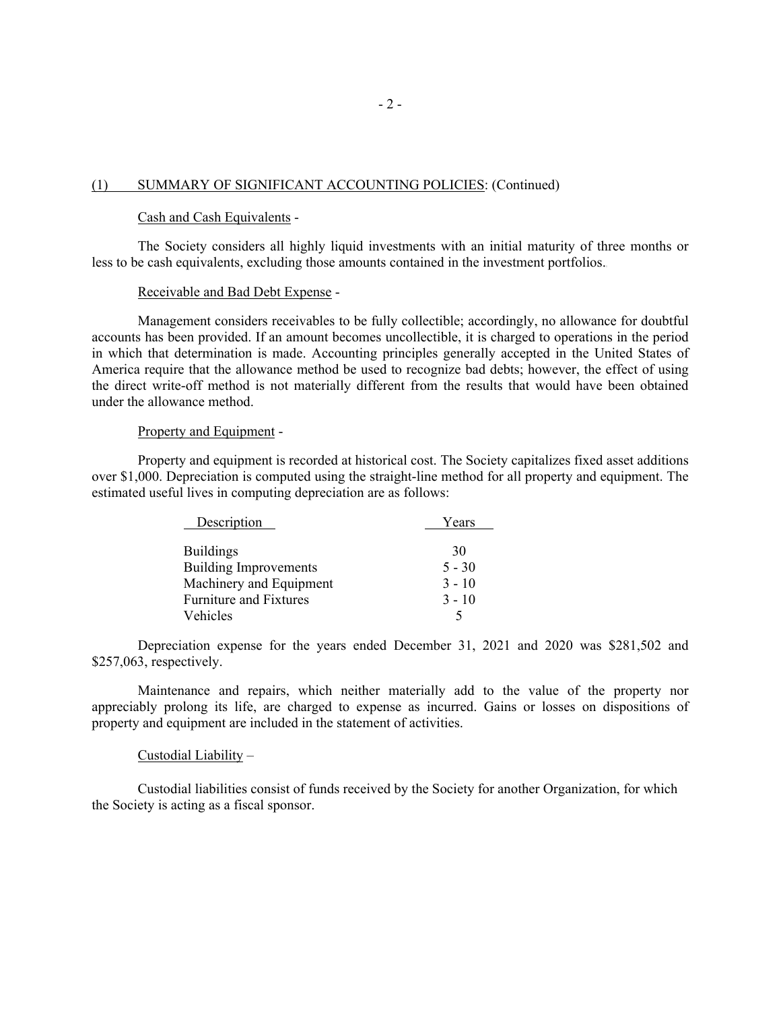#### (1) SUMMARY OF SIGNIFICANT ACCOUNTING POLICIES: (Continued)

## Cash and Cash Equivalents -

 The Society considers all highly liquid investments with an initial maturity of three months or less to be cash equivalents, excluding those amounts contained in the investment portfolios.

### Receivable and Bad Debt Expense -

 Management considers receivables to be fully collectible; accordingly, no allowance for doubtful accounts has been provided. If an amount becomes uncollectible, it is charged to operations in the period in which that determination is made. Accounting principles generally accepted in the United States of America require that the allowance method be used to recognize bad debts; however, the effect of using the direct write-off method is not materially different from the results that would have been obtained under the allowance method.

#### Property and Equipment -

 Property and equipment is recorded at historical cost. The Society capitalizes fixed asset additions over \$1,000. Depreciation is computed using the straight-line method for all property and equipment. The estimated useful lives in computing depreciation are as follows:

| Description                   | Years    |
|-------------------------------|----------|
| <b>Buildings</b>              | 30       |
| <b>Building Improvements</b>  | $5 - 30$ |
| Machinery and Equipment       | $3 - 10$ |
| <b>Furniture and Fixtures</b> | $3 - 10$ |
| Vehicles                      |          |

 Depreciation expense for the years ended December 31, 2021 and 2020 was \$281,502 and \$257,063, respectively.

 Maintenance and repairs, which neither materially add to the value of the property nor appreciably prolong its life, are charged to expense as incurred. Gains or losses on dispositions of property and equipment are included in the statement of activities.

#### Custodial Liability –

Custodial liabilities consist of funds received by the Society for another Organization, for which the Society is acting as a fiscal sponsor.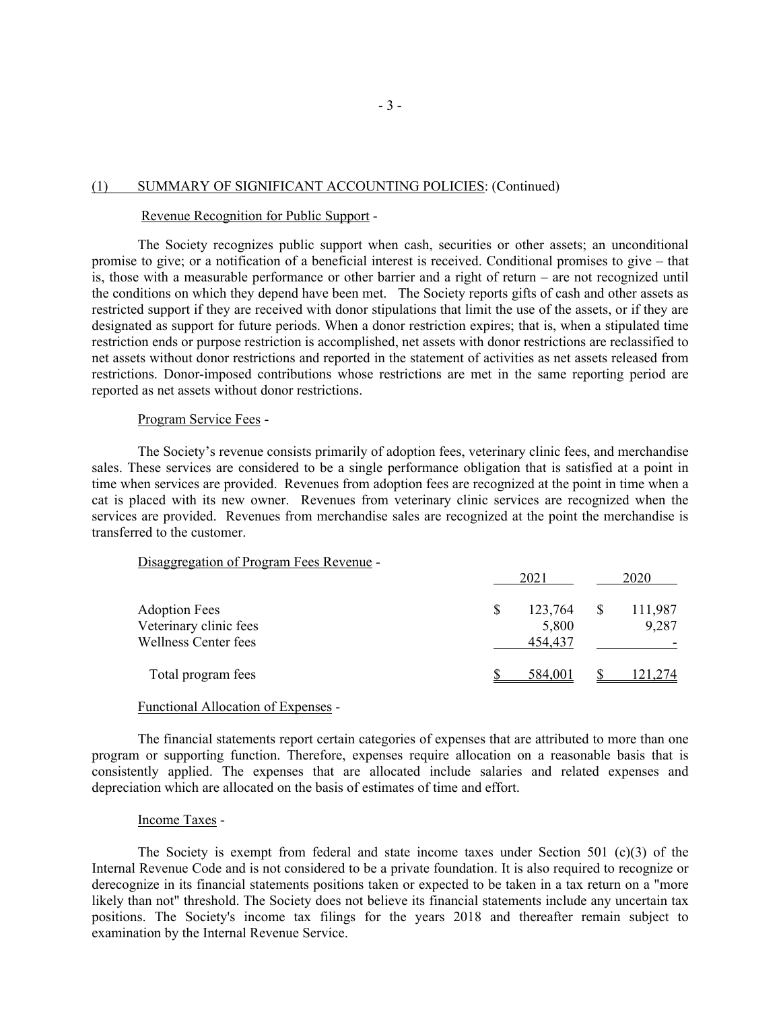#### (1) SUMMARY OF SIGNIFICANT ACCOUNTING POLICIES: (Continued)

#### Revenue Recognition for Public Support -

The Society recognizes public support when cash, securities or other assets; an unconditional promise to give; or a notification of a beneficial interest is received. Conditional promises to give – that is, those with a measurable performance or other barrier and a right of return – are not recognized until the conditions on which they depend have been met. The Society reports gifts of cash and other assets as restricted support if they are received with donor stipulations that limit the use of the assets, or if they are designated as support for future periods. When a donor restriction expires; that is, when a stipulated time restriction ends or purpose restriction is accomplished, net assets with donor restrictions are reclassified to net assets without donor restrictions and reported in the statement of activities as net assets released from restrictions. Donor-imposed contributions whose restrictions are met in the same reporting period are reported as net assets without donor restrictions.

#### Program Service Fees -

The Society's revenue consists primarily of adoption fees, veterinary clinic fees, and merchandise sales. These services are considered to be a single performance obligation that is satisfied at a point in time when services are provided. Revenues from adoption fees are recognized at the point in time when a cat is placed with its new owner. Revenues from veterinary clinic services are recognized when the services are provided. Revenues from merchandise sales are recognized at the point the merchandise is transferred to the customer.

# Disaggregation of Program Fees Revenue -

| 2021    | 2020    |
|---------|---------|
| 123,764 | 111,987 |
| 5,800   | 9,287   |
| 454,437 |         |
| 584,001 | 121,274 |
|         |         |

#### Functional Allocation of Expenses -

 The financial statements report certain categories of expenses that are attributed to more than one program or supporting function. Therefore, expenses require allocation on a reasonable basis that is consistently applied. The expenses that are allocated include salaries and related expenses and depreciation which are allocated on the basis of estimates of time and effort.

#### Income Taxes -

 The Society is exempt from federal and state income taxes under Section 501 (c)(3) of the Internal Revenue Code and is not considered to be a private foundation. It is also required to recognize or derecognize in its financial statements positions taken or expected to be taken in a tax return on a "more likely than not" threshold. The Society does not believe its financial statements include any uncertain tax positions. The Society's income tax filings for the years 2018 and thereafter remain subject to examination by the Internal Revenue Service.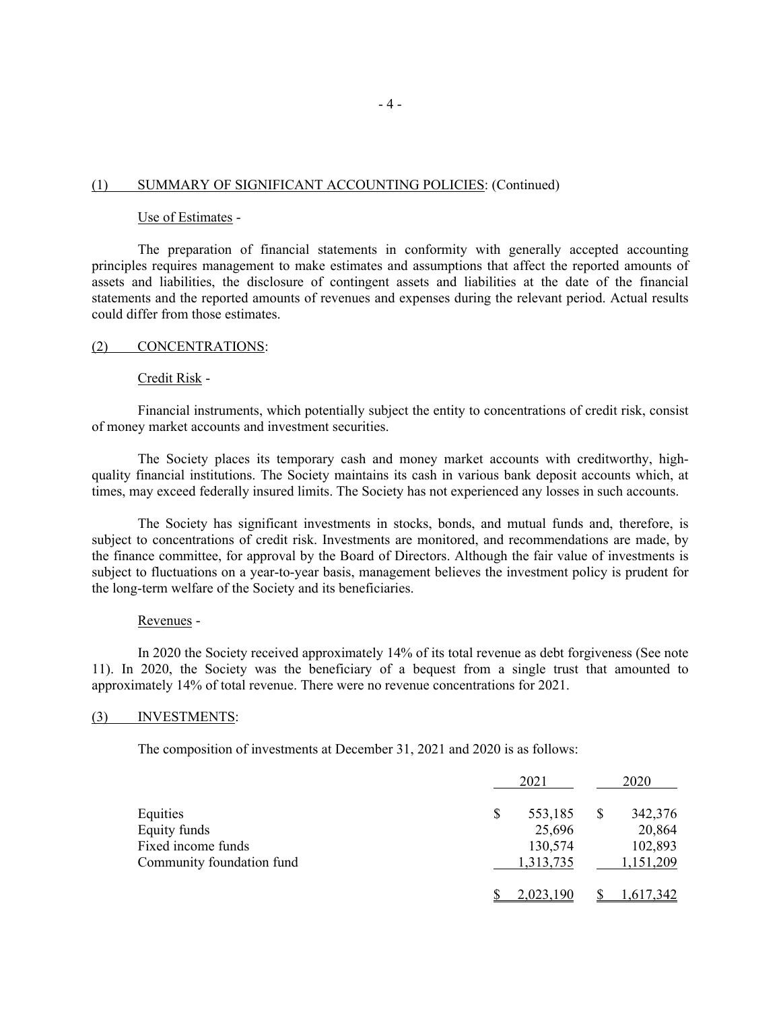### (1) SUMMARY OF SIGNIFICANT ACCOUNTING POLICIES: (Continued)

## Use of Estimates -

 The preparation of financial statements in conformity with generally accepted accounting principles requires management to make estimates and assumptions that affect the reported amounts of assets and liabilities, the disclosure of contingent assets and liabilities at the date of the financial statements and the reported amounts of revenues and expenses during the relevant period. Actual results could differ from those estimates.

#### (2) CONCENTRATIONS:

### Credit Risk -

 Financial instruments, which potentially subject the entity to concentrations of credit risk, consist of money market accounts and investment securities.

 The Society places its temporary cash and money market accounts with creditworthy, highquality financial institutions. The Society maintains its cash in various bank deposit accounts which, at times, may exceed federally insured limits. The Society has not experienced any losses in such accounts.

 The Society has significant investments in stocks, bonds, and mutual funds and, therefore, is subject to concentrations of credit risk. Investments are monitored, and recommendations are made, by the finance committee, for approval by the Board of Directors. Although the fair value of investments is subject to fluctuations on a year-to-year basis, management believes the investment policy is prudent for the long-term welfare of the Society and its beneficiaries.

#### Revenues -

 In 2020 the Society received approximately 14% of its total revenue as debt forgiveness (See note 11). In 2020, the Society was the beneficiary of a bequest from a single trust that amounted to approximately 14% of total revenue. There were no revenue concentrations for 2021.

#### (3) INVESTMENTS:

The composition of investments at December 31, 2021 and 2020 is as follows:

|                           | 2021          | 2020      |
|---------------------------|---------------|-----------|
| Equities                  | \$<br>553,185 | 342,376   |
| Equity funds              | 25,696        | 20,864    |
| Fixed income funds        | 130,574       | 102,893   |
| Community foundation fund | 1,313,735     | 1,151,209 |
|                           | 2,023,190     | 1,617,342 |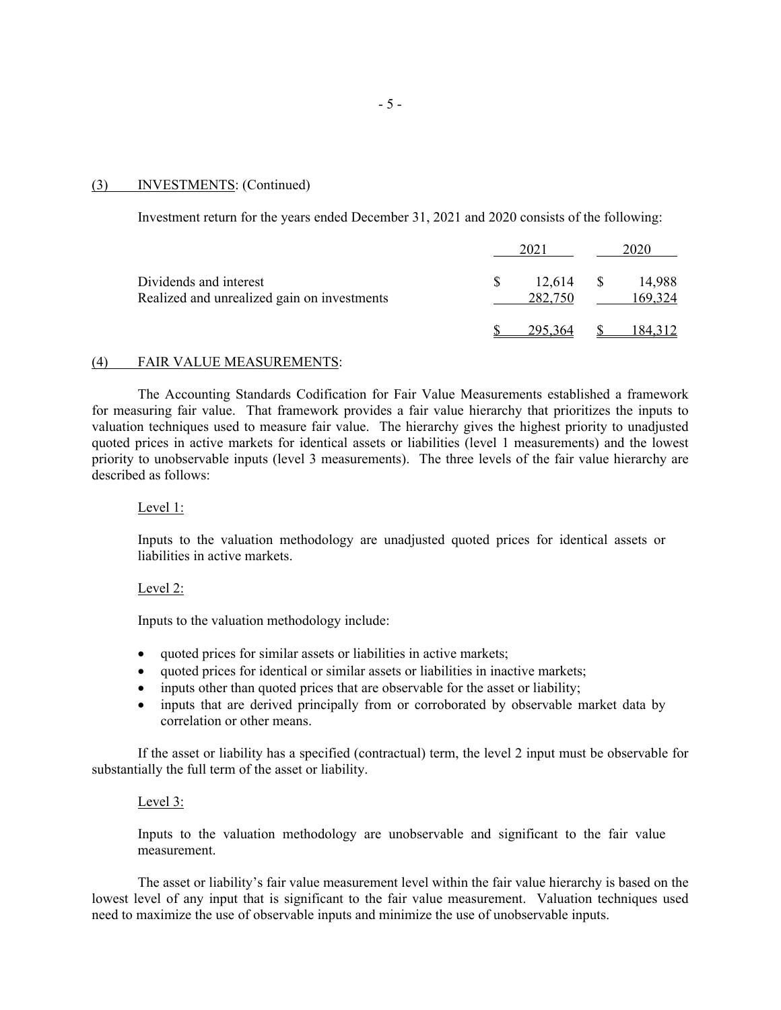#### (3) INVESTMENTS: (Continued)

Investment return for the years ended December 31, 2021 and 2020 consists of the following:

|                                                                       | 2021              |      |                   |
|-----------------------------------------------------------------------|-------------------|------|-------------------|
| Dividends and interest<br>Realized and unrealized gain on investments | 12,614<br>282,750 | - \$ | 14,988<br>169,324 |
|                                                                       |                   |      | I 84.             |

#### (4) FAIR VALUE MEASUREMENTS:

 The Accounting Standards Codification for Fair Value Measurements established a framework for measuring fair value. That framework provides a fair value hierarchy that prioritizes the inputs to valuation techniques used to measure fair value. The hierarchy gives the highest priority to unadjusted quoted prices in active markets for identical assets or liabilities (level 1 measurements) and the lowest priority to unobservable inputs (level 3 measurements). The three levels of the fair value hierarchy are described as follows:

## Level 1:

Inputs to the valuation methodology are unadjusted quoted prices for identical assets or liabilities in active markets.

# Level 2:

Inputs to the valuation methodology include:

- quoted prices for similar assets or liabilities in active markets;
- quoted prices for identical or similar assets or liabilities in inactive markets;
- inputs other than quoted prices that are observable for the asset or liability;
- inputs that are derived principally from or corroborated by observable market data by correlation or other means.

 If the asset or liability has a specified (contractual) term, the level 2 input must be observable for substantially the full term of the asset or liability.

#### Level 3:

Inputs to the valuation methodology are unobservable and significant to the fair value measurement.

The asset or liability's fair value measurement level within the fair value hierarchy is based on the lowest level of any input that is significant to the fair value measurement. Valuation techniques used need to maximize the use of observable inputs and minimize the use of unobservable inputs.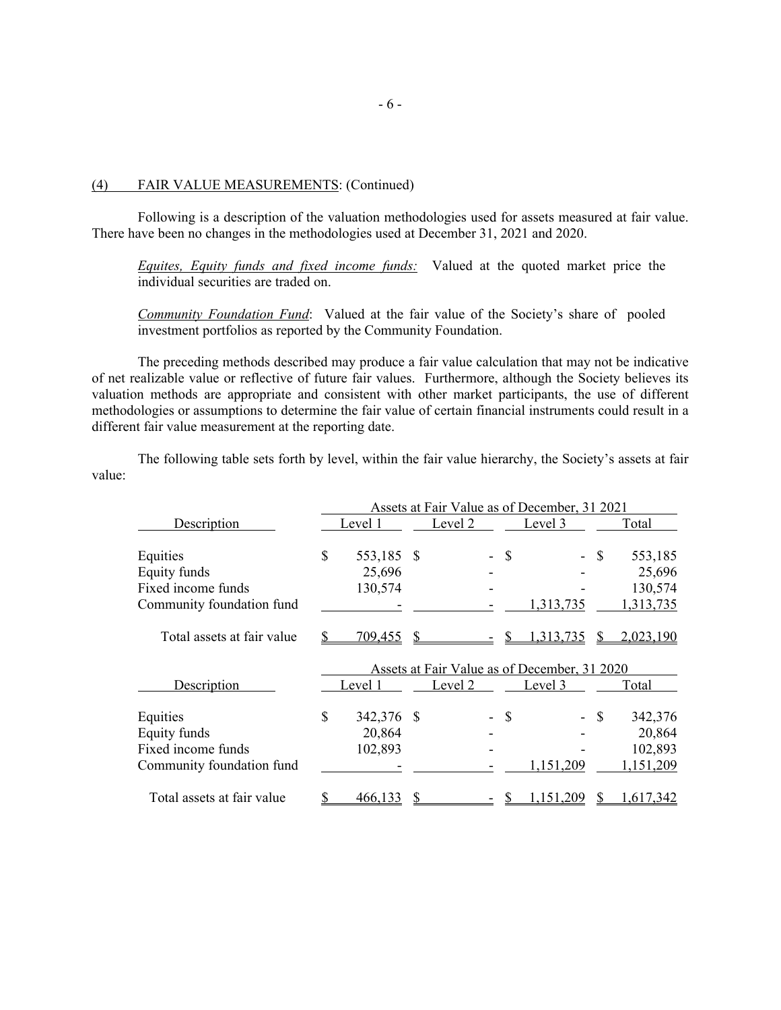#### (4) FAIR VALUE MEASUREMENTS: (Continued)

 Following is a description of the valuation methodologies used for assets measured at fair value. There have been no changes in the methodologies used at December 31, 2021 and 2020.

*Equites, Equity funds and fixed income funds:* Valued at the quoted market price the individual securities are traded on.

*Community Foundation Fund*: Valued at the fair value of the Society's share of pooled investment portfolios as reported by the Community Foundation.

 The preceding methods described may produce a fair value calculation that may not be indicative of net realizable value or reflective of future fair values. Furthermore, although the Society believes its valuation methods are appropriate and consistent with other market participants, the use of different methodologies or assumptions to determine the fair value of certain financial instruments could result in a different fair value measurement at the reporting date.

 The following table sets forth by level, within the fair value hierarchy, the Society's assets at fair value:

|                                                | Assets at Fair Value as of December, 31 2021 |  |         |              |                                              |      |           |
|------------------------------------------------|----------------------------------------------|--|---------|--------------|----------------------------------------------|------|-----------|
| Description                                    | Level 1                                      |  | Level 2 |              | Level <sub>3</sub>                           |      | Total     |
| Equities                                       | \$<br>553,185 \$                             |  |         | S            |                                              | S    | 553,185   |
| Equity funds                                   | 25,696                                       |  |         |              |                                              |      | 25,696    |
| Fixed income funds                             | 130,574                                      |  |         |              |                                              |      | 130,574   |
| Community foundation fund                      |                                              |  |         |              | 1,313,735                                    |      | 1,313,735 |
| Total assets at fair value                     | 709,455                                      |  |         |              | 313,735                                      |      | 2,023,190 |
|                                                |                                              |  |         |              |                                              |      |           |
|                                                |                                              |  |         |              | Assets at Fair Value as of December, 31 2020 |      |           |
| Description                                    | Level 1                                      |  | Level 2 |              | Level 3                                      |      | Total     |
|                                                | \$<br>342,376 \$                             |  |         | $\mathbb{S}$ |                                              | - \$ | 342,376   |
|                                                | 20,864                                       |  |         |              |                                              |      | 20,864    |
| Equities<br>Equity funds<br>Fixed income funds | 102,893                                      |  |         |              |                                              |      | 102,893   |
| Community foundation fund                      |                                              |  |         |              | 1,151,209                                    |      | 151,209   |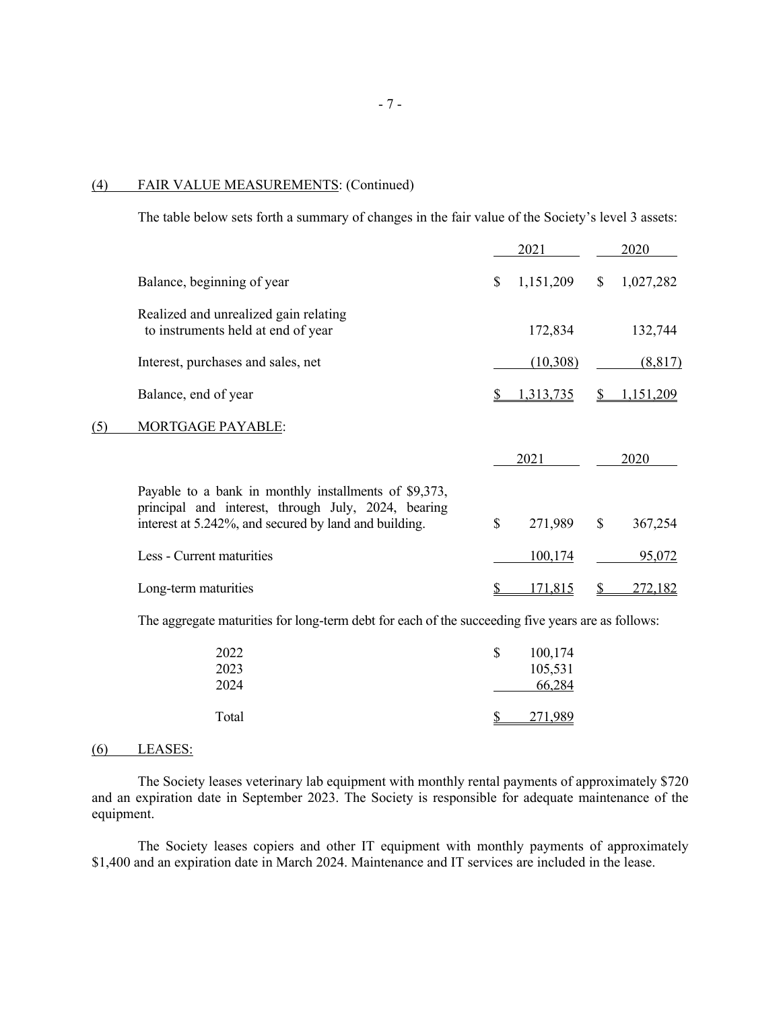## (4) FAIR VALUE MEASUREMENTS: (Continued)

The table below sets forth a summary of changes in the fair value of the Society's level 3 assets:

|     |                                                                                                                                                                       |              | 2021           |               | 2020           |
|-----|-----------------------------------------------------------------------------------------------------------------------------------------------------------------------|--------------|----------------|---------------|----------------|
|     | Balance, beginning of year                                                                                                                                            | \$           | 1,151,209      | <sup>\$</sup> | 1,027,282      |
|     | Realized and unrealized gain relating<br>to instruments held at end of year                                                                                           |              | 172,834        |               | 132,744        |
|     | Interest, purchases and sales, net                                                                                                                                    |              | (10,308)       |               | (8,817)        |
|     | Balance, end of year                                                                                                                                                  |              | 1,313,735      |               | 1,151,209      |
| (5) | MORTGAGE PAYABLE:                                                                                                                                                     |              |                |               |                |
|     |                                                                                                                                                                       |              | 2021           |               | 2020           |
|     | Payable to a bank in monthly installments of \$9,373,<br>principal and interest, through July, 2024, bearing<br>interest at 5.242%, and secured by land and building. | $\mathbb{S}$ | 271,989        | $\mathbb{S}$  | 367,254        |
|     | Less - Current maturities                                                                                                                                             |              | 100,174        |               | 95,072         |
|     | Long-term maturities                                                                                                                                                  |              | <u>171,815</u> |               | <u>272,182</u> |

The aggregate maturities for long-term debt for each of the succeeding five years are as follows:

| 2022<br>2023 | \$<br>100,174<br>105,531 |
|--------------|--------------------------|
| 2024         | 66,284                   |
| Total        | 271,989                  |

# (6) LEASES:

 The Society leases veterinary lab equipment with monthly rental payments of approximately \$720 and an expiration date in September 2023. The Society is responsible for adequate maintenance of the equipment.

The Society leases copiers and other IT equipment with monthly payments of approximately \$1,400 and an expiration date in March 2024. Maintenance and IT services are included in the lease.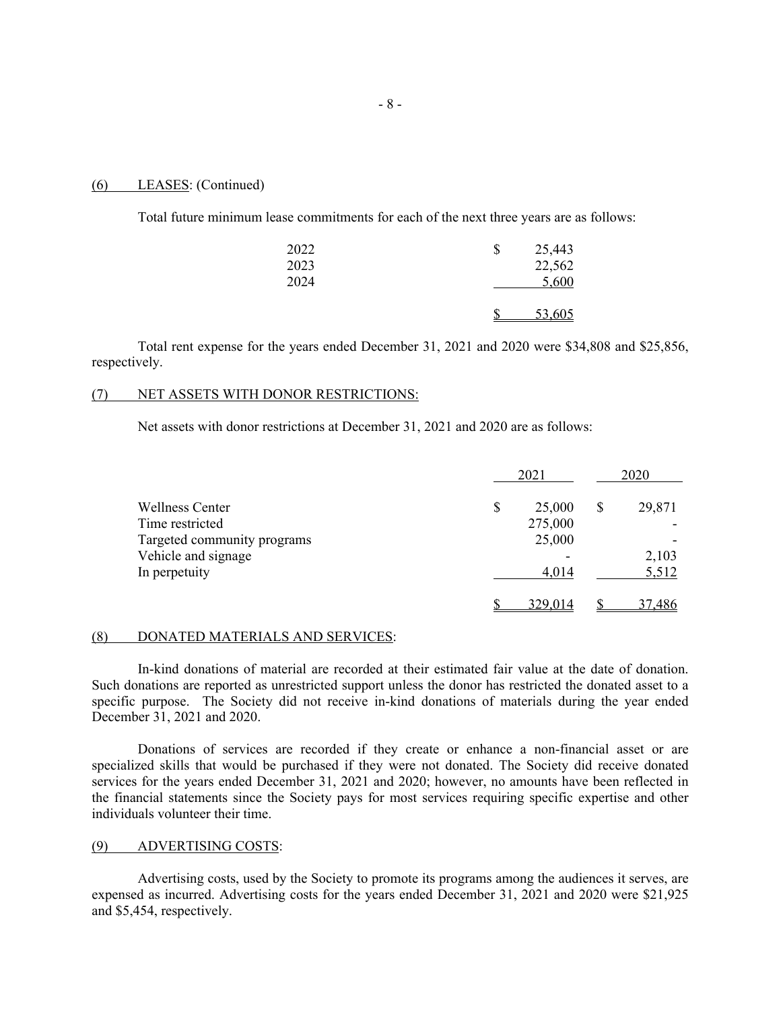#### (6) LEASES: (Continued)

Total future minimum lease commitments for each of the next three years are as follows:

| 2022 | \$ | 25,443 |
|------|----|--------|
| 2023 |    | 22,562 |
| 2024 |    | 5,600  |
|      | ጦ  | 53,605 |

 Total rent expense for the years ended December 31, 2021 and 2020 were \$34,808 and \$25,856, respectively.

# (7) NET ASSETS WITH DONOR RESTRICTIONS:

Net assets with donor restrictions at December 31, 2021 and 2020 are as follows:

|                             | 2021    | 2020   |
|-----------------------------|---------|--------|
| <b>Wellness Center</b>      | 25,000  | 29,871 |
| Time restricted             | 275,000 |        |
| Targeted community programs | 25,000  |        |
| Vehicle and signage         | -       | 2,103  |
| In perpetuity               | 4,014   | 5,512  |
|                             | 329,014 | 37,486 |

#### (8) DONATED MATERIALS AND SERVICES:

 In-kind donations of material are recorded at their estimated fair value at the date of donation. Such donations are reported as unrestricted support unless the donor has restricted the donated asset to a specific purpose. The Society did not receive in-kind donations of materials during the year ended December 31, 2021 and 2020.

 Donations of services are recorded if they create or enhance a non-financial asset or are specialized skills that would be purchased if they were not donated. The Society did receive donated services for the years ended December 31, 2021 and 2020; however, no amounts have been reflected in the financial statements since the Society pays for most services requiring specific expertise and other individuals volunteer their time.

#### (9) ADVERTISING COSTS:

 Advertising costs, used by the Society to promote its programs among the audiences it serves, are expensed as incurred. Advertising costs for the years ended December 31, 2021 and 2020 were \$21,925 and \$5,454, respectively.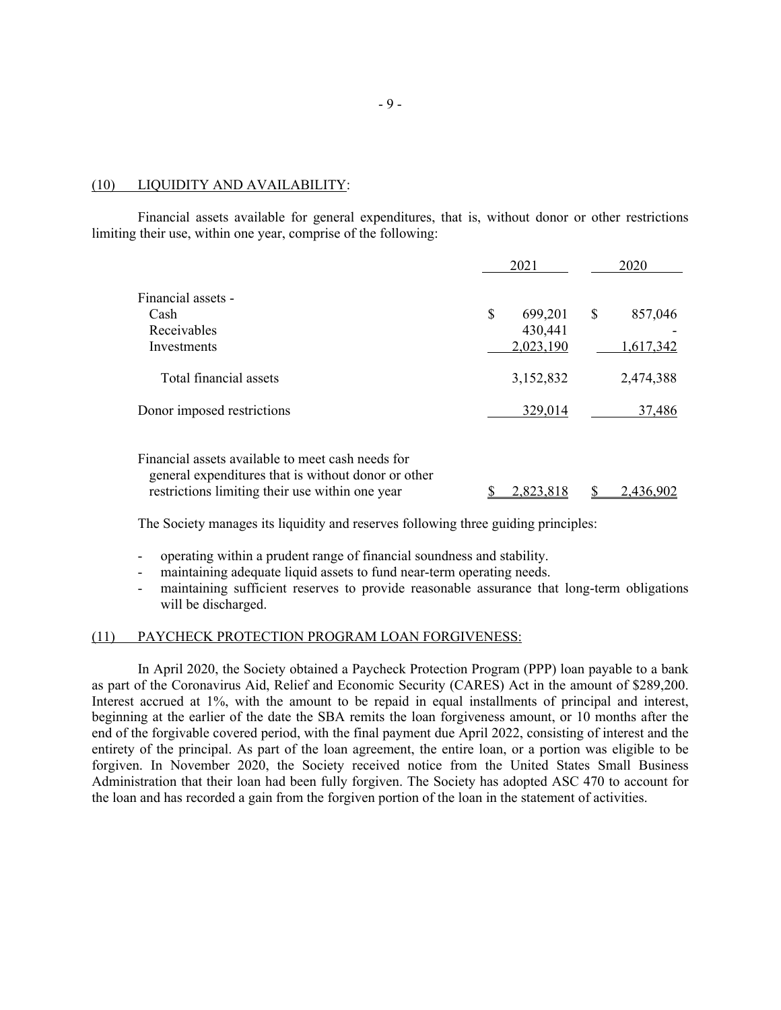#### (10) LIQUIDITY AND AVAILABILITY:

 Financial assets available for general expenditures, that is, without donor or other restrictions limiting their use, within one year, comprise of the following:

|                                                                                                                                                             | 2021                 | 2020          |
|-------------------------------------------------------------------------------------------------------------------------------------------------------------|----------------------|---------------|
| Financial assets -<br>Cash                                                                                                                                  | \$<br>699,201        | \$<br>857,046 |
| Receivables<br>Investments                                                                                                                                  | 430,441<br>2,023,190 | 1,617,342     |
| Total financial assets                                                                                                                                      | 3,152,832            | 2,474,388     |
| Donor imposed restrictions                                                                                                                                  | 329,014              | 37,486        |
| Financial assets available to meet cash needs for<br>general expenditures that is without donor or other<br>restrictions limiting their use within one year | 2,823,818            | 2,436,902     |

The Society manages its liquidity and reserves following three guiding principles:

- operating within a prudent range of financial soundness and stability.
- maintaining adequate liquid assets to fund near-term operating needs.
- maintaining sufficient reserves to provide reasonable assurance that long-term obligations will be discharged.

#### (11) PAYCHECK PROTECTION PROGRAM LOAN FORGIVENESS:

 In April 2020, the Society obtained a Paycheck Protection Program (PPP) loan payable to a bank as part of the Coronavirus Aid, Relief and Economic Security (CARES) Act in the amount of \$289,200. Interest accrued at 1%, with the amount to be repaid in equal installments of principal and interest, beginning at the earlier of the date the SBA remits the loan forgiveness amount, or 10 months after the end of the forgivable covered period, with the final payment due April 2022, consisting of interest and the entirety of the principal. As part of the loan agreement, the entire loan, or a portion was eligible to be forgiven. In November 2020, the Society received notice from the United States Small Business Administration that their loan had been fully forgiven. The Society has adopted ASC 470 to account for the loan and has recorded a gain from the forgiven portion of the loan in the statement of activities.